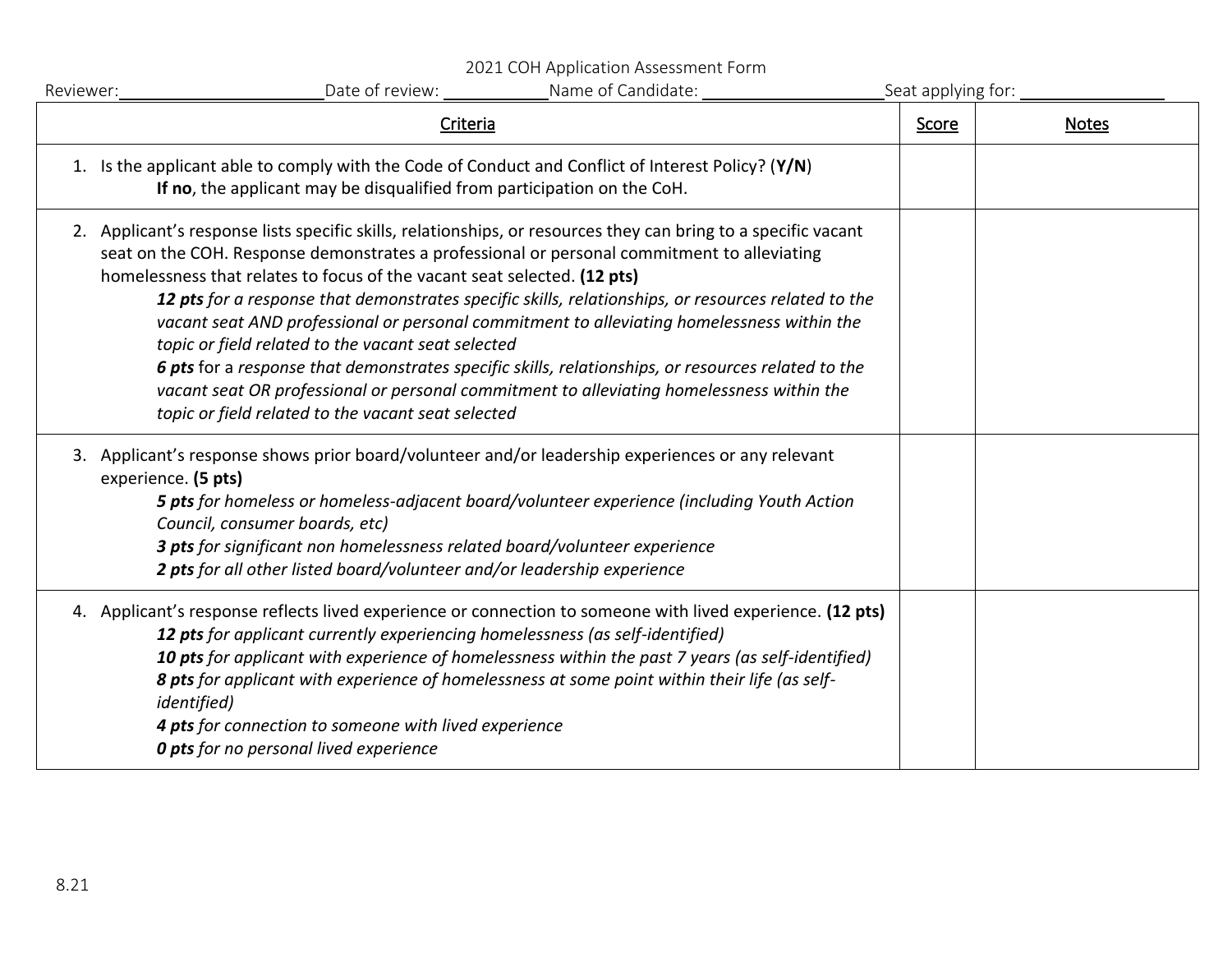2021 COH Application Assessment Form

| Reviewer: | Name of Candidate:<br>Date of review:                                                                                                                                                                                                                                                                                                                                                                                                                                                                                                                                                                                                                                                                                                                                                                         | Seat applying for: |              |
|-----------|---------------------------------------------------------------------------------------------------------------------------------------------------------------------------------------------------------------------------------------------------------------------------------------------------------------------------------------------------------------------------------------------------------------------------------------------------------------------------------------------------------------------------------------------------------------------------------------------------------------------------------------------------------------------------------------------------------------------------------------------------------------------------------------------------------------|--------------------|--------------|
|           | Criteria                                                                                                                                                                                                                                                                                                                                                                                                                                                                                                                                                                                                                                                                                                                                                                                                      | Score              | <b>Notes</b> |
|           | 1. Is the applicant able to comply with the Code of Conduct and Conflict of Interest Policy? (Y/N)<br>If no, the applicant may be disqualified from participation on the CoH.                                                                                                                                                                                                                                                                                                                                                                                                                                                                                                                                                                                                                                 |                    |              |
|           | 2. Applicant's response lists specific skills, relationships, or resources they can bring to a specific vacant<br>seat on the COH. Response demonstrates a professional or personal commitment to alleviating<br>homelessness that relates to focus of the vacant seat selected. (12 pts)<br>12 pts for a response that demonstrates specific skills, relationships, or resources related to the<br>vacant seat AND professional or personal commitment to alleviating homelessness within the<br>topic or field related to the vacant seat selected<br>6 pts for a response that demonstrates specific skills, relationships, or resources related to the<br>vacant seat OR professional or personal commitment to alleviating homelessness within the<br>topic or field related to the vacant seat selected |                    |              |
|           | 3. Applicant's response shows prior board/volunteer and/or leadership experiences or any relevant<br>experience. (5 pts)<br>5 pts for homeless or homeless-adjacent board/volunteer experience (including Youth Action<br>Council, consumer boards, etc)<br>3 pts for significant non homelessness related board/volunteer experience<br>2 pts for all other listed board/volunteer and/or leadership experience                                                                                                                                                                                                                                                                                                                                                                                              |                    |              |
|           | 4. Applicant's response reflects lived experience or connection to someone with lived experience. (12 pts)<br>12 pts for applicant currently experiencing homelessness (as self-identified)<br>10 pts for applicant with experience of homelessness within the past 7 years (as self-identified)<br>8 pts for applicant with experience of homelessness at some point within their life (as self-<br><i>identified</i> )<br>4 pts for connection to someone with lived experience<br><b>0 pts</b> for no personal lived experience                                                                                                                                                                                                                                                                            |                    |              |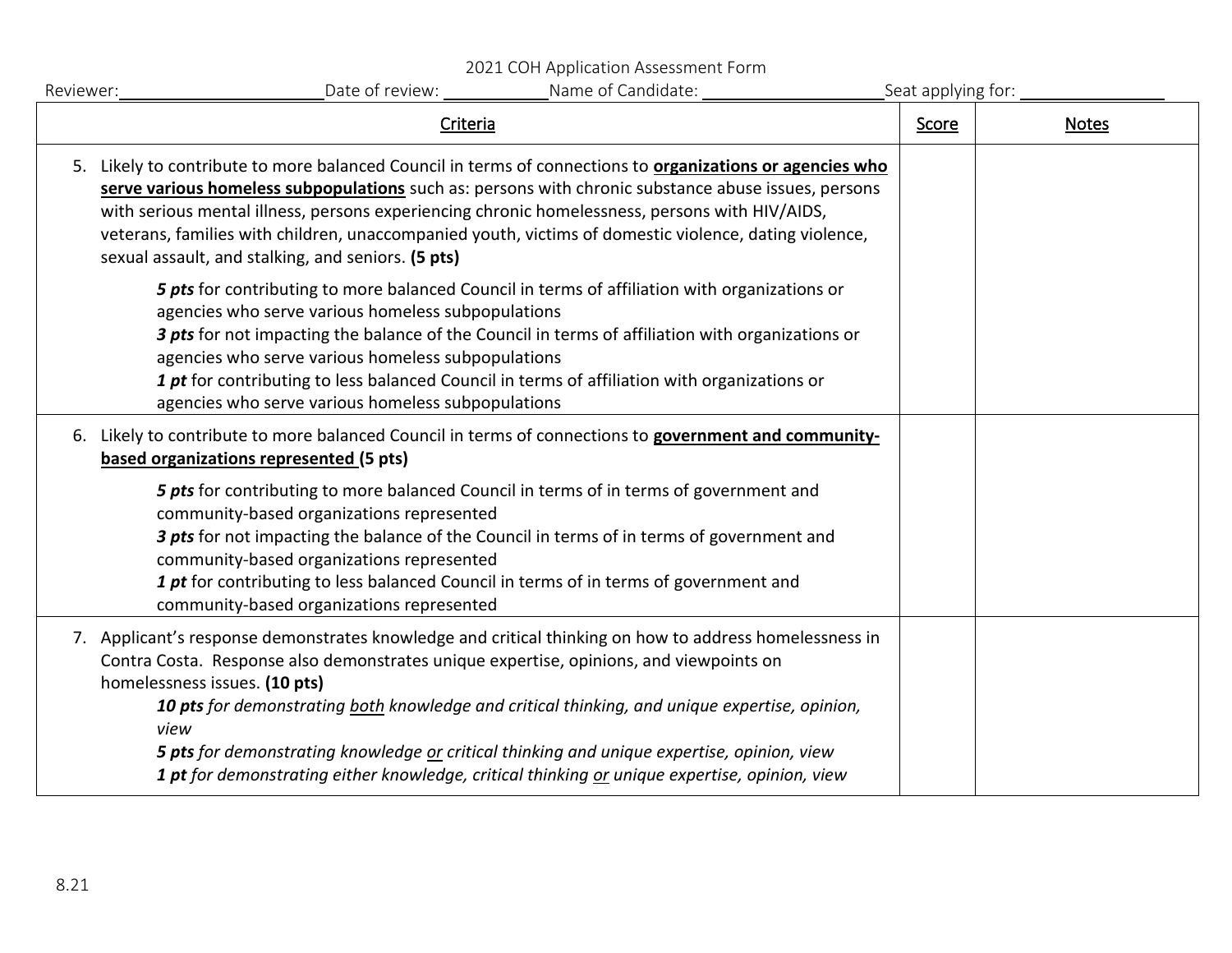2021 COH Application Assessment Form

| Reviewer: | Date of review:<br>Name of Candidate:                                                                                                                                                                                                                                                                                                                                                                                                                                                                                                     | Seat applying for: |              |
|-----------|-------------------------------------------------------------------------------------------------------------------------------------------------------------------------------------------------------------------------------------------------------------------------------------------------------------------------------------------------------------------------------------------------------------------------------------------------------------------------------------------------------------------------------------------|--------------------|--------------|
|           | Criteria                                                                                                                                                                                                                                                                                                                                                                                                                                                                                                                                  | Score              | <b>Notes</b> |
|           | 5. Likely to contribute to more balanced Council in terms of connections to organizations or agencies who<br>serve various homeless subpopulations such as: persons with chronic substance abuse issues, persons<br>with serious mental illness, persons experiencing chronic homelessness, persons with HIV/AIDS,<br>veterans, families with children, unaccompanied youth, victims of domestic violence, dating violence,<br>sexual assault, and stalking, and seniors. (5 pts)                                                         |                    |              |
|           | 5 pts for contributing to more balanced Council in terms of affiliation with organizations or<br>agencies who serve various homeless subpopulations<br>3 pts for not impacting the balance of the Council in terms of affiliation with organizations or<br>agencies who serve various homeless subpopulations<br>1 pt for contributing to less balanced Council in terms of affiliation with organizations or<br>agencies who serve various homeless subpopulations                                                                       |                    |              |
|           | 6. Likely to contribute to more balanced Council in terms of connections to government and community-<br>based organizations represented (5 pts)                                                                                                                                                                                                                                                                                                                                                                                          |                    |              |
|           | 5 pts for contributing to more balanced Council in terms of in terms of government and<br>community-based organizations represented<br>3 pts for not impacting the balance of the Council in terms of in terms of government and<br>community-based organizations represented<br>1 pt for contributing to less balanced Council in terms of in terms of government and<br>community-based organizations represented                                                                                                                       |                    |              |
|           | 7. Applicant's response demonstrates knowledge and critical thinking on how to address homelessness in<br>Contra Costa. Response also demonstrates unique expertise, opinions, and viewpoints on<br>homelessness issues. (10 pts)<br>10 pts for demonstrating both knowledge and critical thinking, and unique expertise, opinion,<br>view<br>5 pts for demonstrating knowledge or critical thinking and unique expertise, opinion, view<br>1 pt for demonstrating either knowledge, critical thinking or unique expertise, opinion, view |                    |              |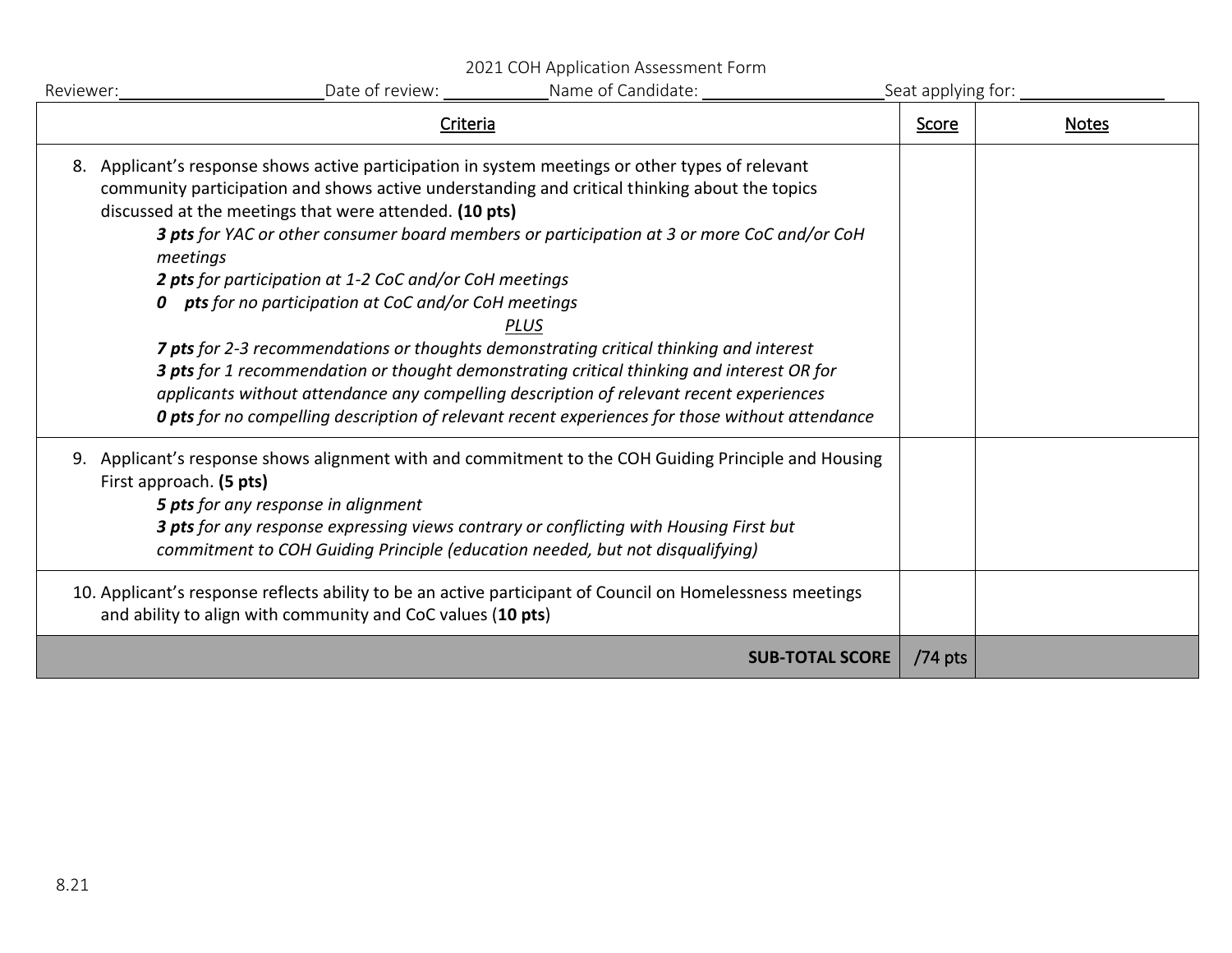2021 COH Application Assessment Form

| Reviewer: | Name of Candidate:<br>Date of review:                                                                                                                                                                                                                                                                                                                                                                                                                                                                                                                                                                                                                                                                                                                                                                                                                                                            | Seat applying for: |              |
|-----------|--------------------------------------------------------------------------------------------------------------------------------------------------------------------------------------------------------------------------------------------------------------------------------------------------------------------------------------------------------------------------------------------------------------------------------------------------------------------------------------------------------------------------------------------------------------------------------------------------------------------------------------------------------------------------------------------------------------------------------------------------------------------------------------------------------------------------------------------------------------------------------------------------|--------------------|--------------|
|           | Criteria                                                                                                                                                                                                                                                                                                                                                                                                                                                                                                                                                                                                                                                                                                                                                                                                                                                                                         | Score              | <b>Notes</b> |
| 8.        | Applicant's response shows active participation in system meetings or other types of relevant<br>community participation and shows active understanding and critical thinking about the topics<br>discussed at the meetings that were attended. (10 pts)<br>3 pts for YAC or other consumer board members or participation at 3 or more CoC and/or CoH<br>meetings<br>2 pts for participation at 1-2 CoC and/or CoH meetings<br><b>0</b> pts for no participation at CoC and/or CoH meetings<br><b>PLUS</b><br>7 pts for 2-3 recommendations or thoughts demonstrating critical thinking and interest<br>3 pts for 1 recommendation or thought demonstrating critical thinking and interest OR for<br>applicants without attendance any compelling description of relevant recent experiences<br>O pts for no compelling description of relevant recent experiences for those without attendance |                    |              |
| 9.        | Applicant's response shows alignment with and commitment to the COH Guiding Principle and Housing<br>First approach. (5 pts)<br><b>5 pts</b> for any response in alignment<br>3 pts for any response expressing views contrary or conflicting with Housing First but<br>commitment to COH Guiding Principle (education needed, but not disqualifying)<br>10. Applicant's response reflects ability to be an active participant of Council on Homelessness meetings<br>and ability to align with community and CoC values (10 pts)                                                                                                                                                                                                                                                                                                                                                                |                    |              |
|           | <b>SUB-TOTAL SCORE</b>                                                                                                                                                                                                                                                                                                                                                                                                                                                                                                                                                                                                                                                                                                                                                                                                                                                                           | $/74$ pts          |              |